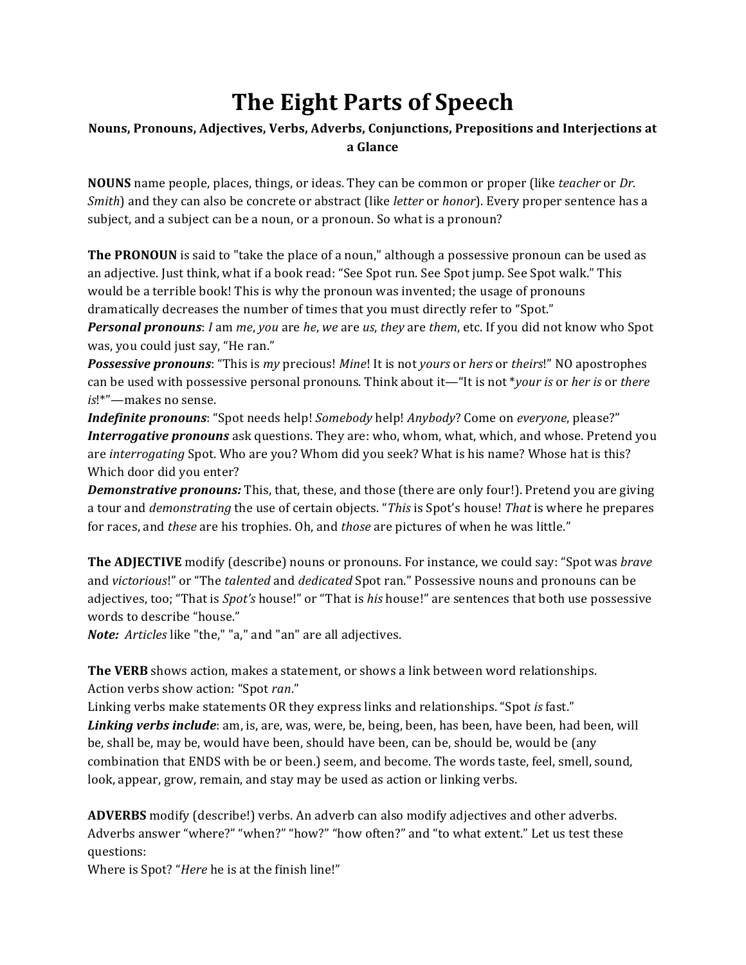## The Eight Parts of Speech

## Nouns, Pronouns, Adjectives, Verbs, Adverbs, Conjunctions, Prepositions and Interjections at a Glance

**NOUNS** name people, places, things, or ideas. They can be common or proper (like *teacher* or *Dr.*) Smith) and they can also be concrete or abstract (like *letter* or *honor*). Every proper sentence has a subject, and a subject can be a noun, or a pronoun. So what is a pronoun?

The PRONOUN is said to "take the place of a noun," although a possessive pronoun can be used as an adjective. Just think, what if a book read: "See Spot run. See Spot jump. See Spot walk." This would be a terrible book! This is why the pronoun was invented; the usage of pronouns dramatically decreases the number of times that you must directly refer to "Spot."

**Personal pronouns:** I am me, you are he, we are us, they are them, etc. If you did not know who Spot was, you could just say, "He ran."

**Possessive pronouns:** "This is my precious! Mine! It is not yours or hers or theirs!" NO apostrophes can be used with possessive personal pronouns. Think about it—"It is not \*your is or her is or there is!\*"-makes no sense.

**Indefinite pronouns**: "Spot needs help! Somebody help! Anybody? Come on everyone, please?" **Interrogative pronouns** ask questions. They are: who, whom, what, which, and whose. Pretend you are interrogating Spot. Who are you? Whom did you seek? What is his name? Whose hat is this? Which door did you enter?

**Demonstrative pronouns:** This, that, these, and those (there are only four!). Pretend you are giving a tour and *demonstrating* the use of certain objects. "This is Spot's house! That is where he prepares for races, and these are his trophies. Oh, and those are pictures of when he was little."

The ADJECTIVE modify (describe) nouns or pronouns. For instance, we could say: "Spot was brave and victorious!" or "The talented and dedicated Spot ran." Possessive nouns and pronouns can be adjectives, too; "That is Spot's house!" or "That is his house!" are sentences that both use possessive words to describe "house."

Note: Articles like "the," "a," and "an" are all adjectives.

The VERB shows action, makes a statement, or shows a link between word relationships. Action verbs show action: "Spot ran."

Linking verbs make statements OR they express links and relationships. "Spot is fast." Linking verbs include: am, is, are, was, were, be, being, been, has been, have been, had been, will be, shall be, may be, would have been, should have been, can be, should be, would be (any combination that ENDS with be or been.) seem, and become. The words taste, feel, smell, sound, look, appear, grow, remain, and stay may be used as action or linking verbs.

ADVERBS modify (describe!) verbs. An adverb can also modify adjectives and other adverbs. Adverbs answer "where?" "when?" "how?" "how often?" and "to what extent." Let us test these questions:

Where is Spot? "Here he is at the finish line!"